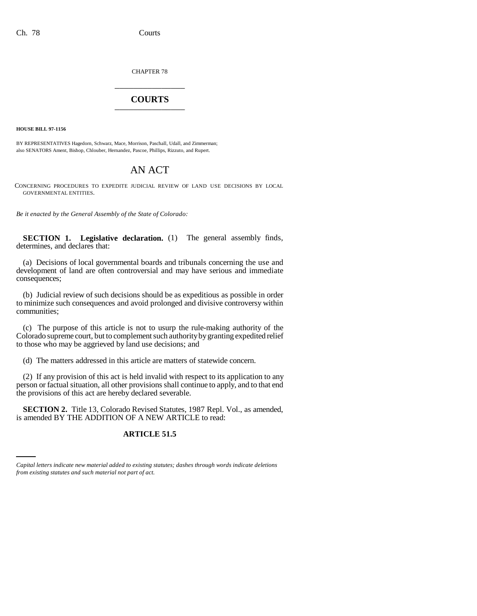CHAPTER 78

# \_\_\_\_\_\_\_\_\_\_\_\_\_\_\_ **COURTS** \_\_\_\_\_\_\_\_\_\_\_\_\_\_\_

**HOUSE BILL 97-1156**

BY REPRESENTATIVES Hagedorn, Schwarz, Mace, Morrison, Paschall, Udall, and Zimmerman; also SENATORS Ament, Bishop, Chlouber, Hernandez, Pascoe, Phillips, Rizzuto, and Rupert.

## AN ACT

CONCERNING PROCEDURES TO EXPEDITE JUDICIAL REVIEW OF LAND USE DECISIONS BY LOCAL GOVERNMENTAL ENTITIES.

*Be it enacted by the General Assembly of the State of Colorado:*

**SECTION 1. Legislative declaration.** (1) The general assembly finds, determines, and declares that:

(a) Decisions of local governmental boards and tribunals concerning the use and development of land are often controversial and may have serious and immediate consequences;

(b) Judicial review of such decisions should be as expeditious as possible in order to minimize such consequences and avoid prolonged and divisive controversy within communities;

(c) The purpose of this article is not to usurp the rule-making authority of the Colorado supreme court, but to complement such authority by granting expedited relief to those who may be aggrieved by land use decisions; and

(d) The matters addressed in this article are matters of statewide concern.

(2) If any provision of this act is held invalid with respect to its application to any person or factual situation, all other provisions shall continue to apply, and to that end the provisions of this act are hereby declared severable.

is amended BY THE ADDITION OF A NEW ARTICLE to read: **SECTION 2.** Title 13, Colorado Revised Statutes, 1987 Repl. Vol., as amended,

## **ARTICLE 51.5**

*Capital letters indicate new material added to existing statutes; dashes through words indicate deletions from existing statutes and such material not part of act.*